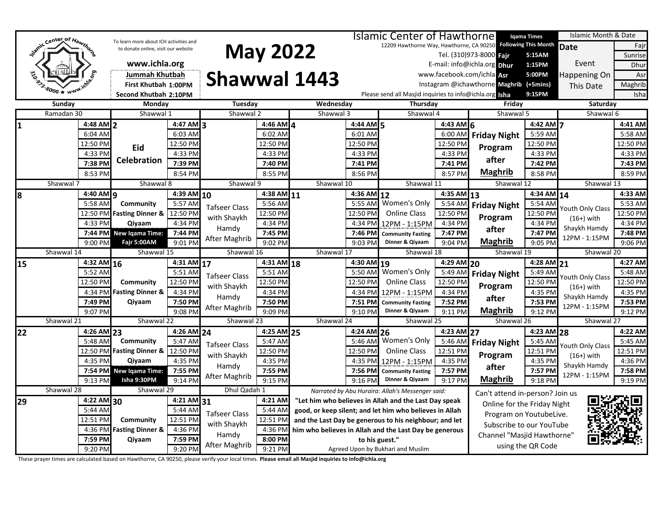|                          |                            | Islamic Center of Hawthorne            |                          |                      |                                                       |                                   |                    |                                                         |                                                               | Iqama Times                             | Islamic Month & Date |                  |                       |
|--------------------------|----------------------------|----------------------------------------|--------------------------|----------------------|-------------------------------------------------------|-----------------------------------|--------------------|---------------------------------------------------------|---------------------------------------------------------------|-----------------------------------------|----------------------|------------------|-----------------------|
| Jamic Center of Hawthorn |                            | To learn more about ICH activities and |                          |                      |                                                       |                                   |                    |                                                         | 12209 Hawthorne Way, Hawthorne, CA 90250 Following This Month |                                         | <b>Date</b><br>Fajr  |                  |                       |
|                          |                            | to donate online, visit our website    |                          | <b>May 2022</b>      |                                                       |                                   |                    |                                                         |                                                               | Tel. (310)973-8000 Fajr<br>5:15AM       |                      |                  | Sunrise               |
|                          |                            | www.ichla.org                          |                          |                      |                                                       |                                   |                    |                                                         |                                                               | E-mail: info@ichla.org Dhur             | 1:15PM               | Event            | Dhur                  |
|                          |                            | Jummah Khutbah                         |                          |                      |                                                       |                                   |                    |                                                         |                                                               | www.facebook.com/ichla Asr              | 5:00PM               | Happening On     | Asr                   |
|                          |                            | First Khutbah 1:00PM                   |                          |                      |                                                       | <b>Shawwal 1443</b>               |                    |                                                         |                                                               | Instagram @ichawthorne Maghrib (+5mins) |                      | This Date        | Maghrib               |
|                          |                            | Second Khutbah 2:10PM                  |                          |                      |                                                       |                                   |                    | Please send all Masjid inquiries to info@ichla.org Isha |                                                               |                                         | 9:15PM               |                  | Isha                  |
| Sunday                   |                            | Monday                                 |                          | Tuesday              |                                                       | Wednesday                         |                    | Thursday                                                |                                                               | Friday                                  |                      | Saturday         |                       |
|                          | Ramadan 30                 | Shawwal 1                              |                          | Shawwal 2            |                                                       | Shawwal 3                         |                    | Shawwal 4                                               |                                                               | Shawwal 5                               |                      | Shawwal 6        |                       |
| 1                        | $4:48$ AM 2                |                                        | $4:47$ AM 3              |                      | $4:46$ AM $4$                                         |                                   | 4:44 AM 5          |                                                         | 4:43 AM $6$                                                   |                                         | 4:42 AM 7            |                  | 4:41 AM               |
|                          | 6:04 AM                    |                                        | 6:03 AM                  |                      | 6:02 AM                                               |                                   | 6:01 AM            |                                                         | 6:00 AM                                                       | <b>Friday Night</b>                     | 5:59 AM              |                  | 5:58 AM               |
|                          | 12:50 PM                   | Eid                                    | 12:50 PM                 |                      | 12:50 PM                                              |                                   | 12:50 PM           |                                                         | 12:50 PM                                                      | Program                                 | 12:50 PM             |                  | 12:50 PM              |
|                          | 4:33 PM                    |                                        | 4:33 PM                  |                      | 4:33 PM                                               |                                   | 4:33 PM            |                                                         | 4:33 PM                                                       |                                         | 4:33 PM              |                  | 4:33 PM               |
|                          | 7:38 PM                    | <b>Celebration</b>                     | 7:39 PM                  |                      | 7:40 PM                                               |                                   | 7:41 PM            |                                                         | 7:41 PM                                                       | after                                   | 7:42 PM              |                  | 7:43 PM               |
|                          | 8:53 PM                    |                                        | 8:54 PM                  |                      | 8:55 PM                                               |                                   | 8:56 PM            |                                                         | 8:57 PM                                                       | <b>Maghrib</b>                          | 8:58 PM              |                  | 8:59 PM               |
|                          | Shawwal 7                  | Shawwal 8                              |                          | Shawwal 9            |                                                       | Shawwal 10                        |                    | Shawwal 11                                              |                                                               | Shawwal 12                              |                      | Shawwal 13       |                       |
| 8                        | $4:40$ AM $\alpha$         |                                        | $4:39$ AM $10$           |                      | 4:38 AM 11                                            |                                   | 4:36 AM            | 12                                                      | 4:35 AM 13                                                    |                                         | $4:34$ AM $14$       |                  | 4:33 AM               |
|                          | 5:58 AM                    | Community                              | 5:57 AM                  | <b>Tafseer Class</b> | 5:56 AM                                               |                                   | 5:55 AM            | Women's Only                                            | 5:54 AN                                                       | <b>Friday Night</b>                     | 5:54 AM              | Youth Only Class | 5:53 AM               |
|                          | 12:50 PM                   | <b>Fasting Dinner &amp;</b>            | 12:50 PM                 | with Shaykh          | 12:50 PM                                              |                                   | 12:50 PM           | <b>Online Class</b>                                     | 12:50 PM                                                      | Program                                 | 12:50 PM             | $(16+)$ with     | 12:50 PM              |
|                          | 4:33 PM                    | Qiyaam                                 | 4:34 PM                  | Hamdy                | 4:34 PM                                               |                                   | 4:34 PM            | 12PM - 1:15PM                                           | 4:34 PM                                                       |                                         | 4:34 PM              | Shaykh Hamdy     | 4:34 PM               |
|                          | 7:44 PM                    | <b>New Igama Time:</b>                 | 7:44 PM                  |                      | 7:45 PM                                               |                                   | 7:46 PM            | <b>Community Fasting</b>                                | 7:47 PM                                                       | after                                   | 7:47 PM              | 12PM - 1:15PM    | 7:48 PM               |
|                          | 9:00 PM                    | Fajr 5:00AM                            | 9:01 PM                  | After Maghrib        | 9:02 PM                                               |                                   | 9:03 PM            | Dinner & Qiyaam                                         | 9:04 PM                                                       | <b>Maghrib</b>                          | 9:05 PM              |                  | $9:06$ PM             |
|                          | Shawwal 14                 | Shawwal 15                             |                          | Shawwal 16           |                                                       | Shawwal 17                        |                    | Shawwal 18                                              |                                                               | Shawwal 19                              |                      | Shawwal 20       |                       |
| 15                       | 4:32 AM 16                 |                                        | $4:31$ AM 17             |                      | $4:31$ AM $18$                                        |                                   | $4:30$ AM 19       |                                                         | $4:29$ AM 20                                                  |                                         | $4:28$ AM 21         |                  | 4:27 AM               |
|                          | 5:52 AM                    |                                        | 5:51 AM                  | <b>Tafseer Class</b> | 5:51 AM                                               |                                   | 5:50 AM            | Women's Only                                            | 5:49 AM                                                       | <b>Friday Night</b>                     | 5:49 AM              | Youth Only Class | 5:48 AM               |
|                          | 12:50 PM                   | Community                              | 12:50 PM                 | with Shaykh          | 12:50 PM                                              |                                   | 12:50 PM           | <b>Online Class</b>                                     | 12:50 PM                                                      | Program                                 | 12:50 PM             | $(16+)$ with     | 12:50 PM              |
|                          | 4:34 PM                    | <b>Fasting Dinner &amp;</b>            | 4:34 PM                  | Hamdy                | 4:34 PM                                               |                                   | 4:34 PM            | 12PM - 1:15PM                                           | 4:34 PM                                                       | after                                   | 4:35 PM              | Shaykh Hamdy     | 4:35 PM               |
|                          | 7:49 PM                    | Qiyaam                                 | 7:50 PM                  | After Maghrib        | 7:50 PM                                               |                                   | 7:51 PM            | <b>Community Fasting</b>                                | 7:52 PM                                                       |                                         | 7:53 PM              | 12PM - 1:15PM    | 7:53 PM               |
|                          | 9:07 PM                    |                                        | 9:08 PM                  |                      | 9:09 PM                                               |                                   | 9:10 PM            | Dinner & Qiyaam                                         | 9:11 PM                                                       | <b>Maghrib</b>                          | 9:12 PM              |                  | 9:12 PM               |
|                          | Shawwal 21                 | Shawwal 22                             |                          | Shawwal 23           |                                                       | Shawwal 24                        |                    | Shawwal 25                                              |                                                               | Shawwal 26                              |                      | Shawwal 27       |                       |
| 22                       | $4:26$ AM 23               | Community                              | $4:26$ AM 24             |                      | $4:25$ AM 25                                          |                                   | 4:24 AM            | 26<br>Women's Only                                      | $4:23$ AM 27                                                  |                                         | $4:23$ AM 28         |                  | 4:22 AM               |
|                          | 5:48 AM                    |                                        | 5:47 AM                  | Tafseer Class        | 5:47 AM<br>12:50 PM                                   |                                   | 5:46 AM            |                                                         | 5:46 AM                                                       | <b>Friday Night</b>                     | 5:45 AM              | Youth Only Class | 5:45 AM<br>$12:51$ PM |
|                          | 12:50 PM<br>4:35 PM        | <b>Fasting Dinner &amp;</b><br>Qiyaam  | 12:50 PM                 | with Shaykh          |                                                       |                                   | 12:50 PM           | <b>Online Class</b>                                     | 12:51 PM                                                      | Program                                 | 12:51 PM             | $(16+)$ with     | $\overline{4:}36$ PM  |
|                          |                            |                                        | 4:35 PM                  | Hamdy                | 4:35 PM                                               |                                   | 4:35 PM            | 12PM - 1:15PM                                           | 4:35 PM                                                       | after                                   | 4:35 PM              | Shaykh Hamdy     |                       |
|                          | 9:13 PM                    | 7:54 PM New Igama Time:<br>Isha 9:30PM | 7:55 PM<br>9:14 PM       | After Maghrib        | 7:55 PM<br>9:15 PM                                    |                                   | 7:56 PM<br>9:16 PM | <b>Community Fasting</b><br>Dinner & Qiyaam             | 7:57 PM<br>9:17 PM                                            | <b>Maghrib</b>                          | 7:57 PM<br>9:18 PM   | 12PM - 1:15PM    | 7:58 PM<br>9:19 PM    |
|                          | Shawwal 28                 | Shawwal 29                             |                          | Dhul Qadah 1         |                                                       |                                   |                    | Narrated by Abu Huraira: Allah's Messenger said:        |                                                               |                                         |                      |                  |                       |
| 29                       | 4:22 AM 30<br>$4:21$ AM 31 |                                        | 4:21 AM                  |                      | "Let him who believes in Allah and the Last Day speak |                                   |                    |                                                         | Can't attend in-person? Join us                               |                                         |                      |                  |                       |
| 5:44 AM                  |                            |                                        | 5:44 AM                  |                      | 5:44 AM                                               |                                   |                    | good, or keep silent; and let him who believes in Allah |                                                               | Online for the Friday Night             |                      |                  |                       |
|                          | 12:51 PM                   | Community                              | 12:51 PM                 | Tafseer Class        | 12:51 PM                                              |                                   |                    | and the Last Day be generous to his neighbour; and let  |                                                               | Program on YoutubeLive.                 |                      |                  |                       |
|                          | 4:36 PM                    | <b>Fasting Dinner &amp;</b>            | 4:36 PM                  | with Shaykh          | 4:36 PM                                               |                                   |                    | him who believes in Allah and the Last Day be generous  |                                                               | Subscribe to our YouTube                |                      |                  |                       |
|                          | 7:59 PM                    | Qiyaam                                 | 7:59 PM                  | Hamdy                | 8:00 PM                                               |                                   | to his guest."     |                                                         |                                                               | Channel "Masjid Hawthorne"              |                      |                  |                       |
|                          | 9:20 PM<br>9:20 PM         |                                        | After Maghrib<br>9:21 PM |                      |                                                       | Agreed Upon by Bukhari and Muslim |                    |                                                         | using the QR Code                                             |                                         |                      |                  |                       |

These prayer times are calculated based on Hawthorne, CA 90250, please verify your local times. **Please email all Masjid inquiries to info@ichla.org**